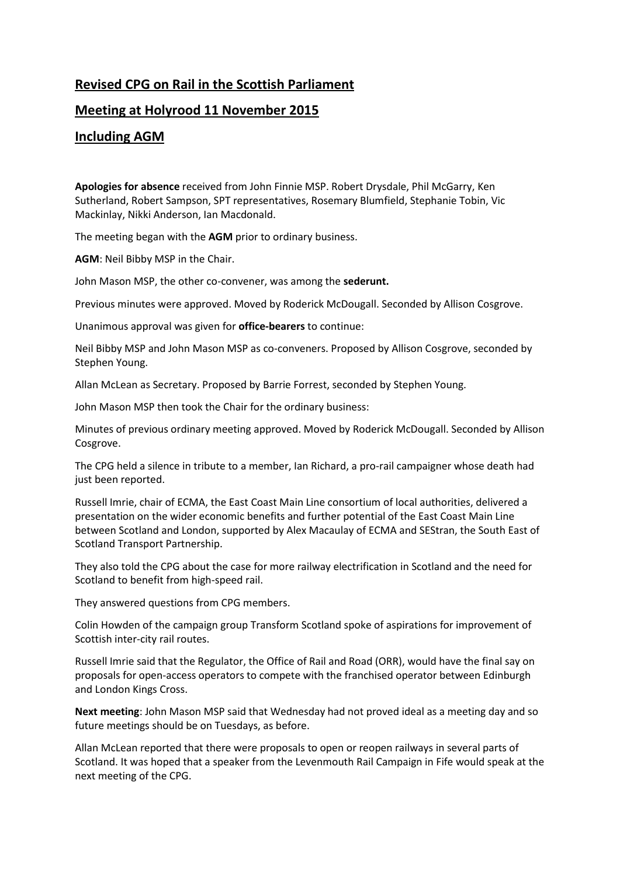## **Revised CPG on Rail in the Scottish Parliament**

## **Meeting at Holyrood 11 November 2015**

## **Including AGM**

**Apologies for absence** received from John Finnie MSP. Robert Drysdale, Phil McGarry, Ken Sutherland, Robert Sampson, SPT representatives, Rosemary Blumfield, Stephanie Tobin, Vic Mackinlay, Nikki Anderson, Ian Macdonald.

The meeting began with the **AGM** prior to ordinary business.

**AGM**: Neil Bibby MSP in the Chair.

John Mason MSP, the other co-convener, was among the **sederunt.**

Previous minutes were approved. Moved by Roderick McDougall. Seconded by Allison Cosgrove.

Unanimous approval was given for **office-bearers** to continue:

Neil Bibby MSP and John Mason MSP as co-conveners. Proposed by Allison Cosgrove, seconded by Stephen Young.

Allan McLean as Secretary. Proposed by Barrie Forrest, seconded by Stephen Young.

John Mason MSP then took the Chair for the ordinary business:

Minutes of previous ordinary meeting approved. Moved by Roderick McDougall. Seconded by Allison Cosgrove.

The CPG held a silence in tribute to a member, Ian Richard, a pro-rail campaigner whose death had just been reported.

Russell Imrie, chair of ECMA, the East Coast Main Line consortium of local authorities, delivered a presentation on the wider economic benefits and further potential of the East Coast Main Line between Scotland and London, supported by Alex Macaulay of ECMA and SEStran, the South East of Scotland Transport Partnership.

They also told the CPG about the case for more railway electrification in Scotland and the need for Scotland to benefit from high-speed rail.

They answered questions from CPG members.

Colin Howden of the campaign group Transform Scotland spoke of aspirations for improvement of Scottish inter-city rail routes.

Russell Imrie said that the Regulator, the Office of Rail and Road (ORR), would have the final say on proposals for open-access operators to compete with the franchised operator between Edinburgh and London Kings Cross.

**Next meeting**: John Mason MSP said that Wednesday had not proved ideal as a meeting day and so future meetings should be on Tuesdays, as before.

Allan McLean reported that there were proposals to open or reopen railways in several parts of Scotland. It was hoped that a speaker from the Levenmouth Rail Campaign in Fife would speak at the next meeting of the CPG.